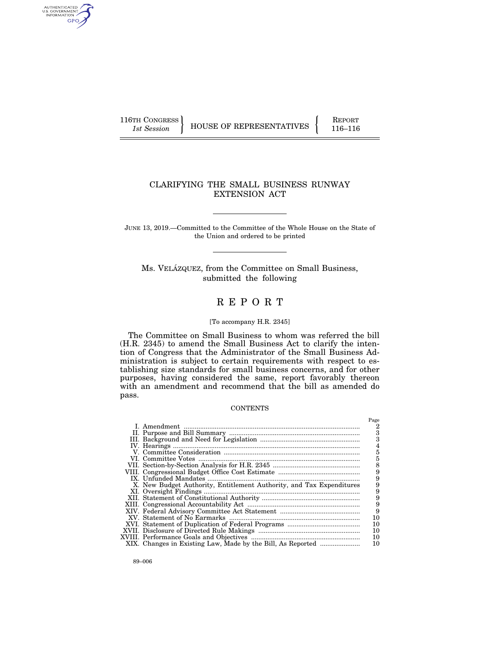AUTHENTICATED<br>U.S. GOVERNMENT<br>INFORMATION GPO

116TH CONGRESS HOUSE OF REPRESENTATIVES FEPORT 116–116

# CLARIFYING THE SMALL BUSINESS RUNWAY EXTENSION ACT

JUNE 13, 2019.—Committed to the Committee of the Whole House on the State of the Union and ordered to be printed

Ms. VELÁZQUEZ, from the Committee on Small Business, submitted the following

# R E P O R T

# [To accompany H.R. 2345]

The Committee on Small Business to whom was referred the bill (H.R. 2345) to amend the Small Business Act to clarify the intention of Congress that the Administrator of the Small Business Administration is subject to certain requirements with respect to establishing size standards for small business concerns, and for other purposes, having considered the same, report favorably thereon with an amendment and recommend that the bill as amended do pass.

# **CONTENTS**

|                                                                      | Page          |
|----------------------------------------------------------------------|---------------|
|                                                                      | 2             |
|                                                                      | 3             |
|                                                                      | 3             |
|                                                                      |               |
|                                                                      | 5             |
|                                                                      | 5             |
|                                                                      | 8             |
|                                                                      | 9             |
|                                                                      | 9             |
| X. New Budget Authority, Entitlement Authority, and Tax Expenditures | 9             |
|                                                                      | 9             |
|                                                                      | $\frac{9}{9}$ |
|                                                                      |               |
|                                                                      |               |
|                                                                      | 10            |
|                                                                      | 10            |
|                                                                      | 10            |
|                                                                      | 10            |
|                                                                      | 10            |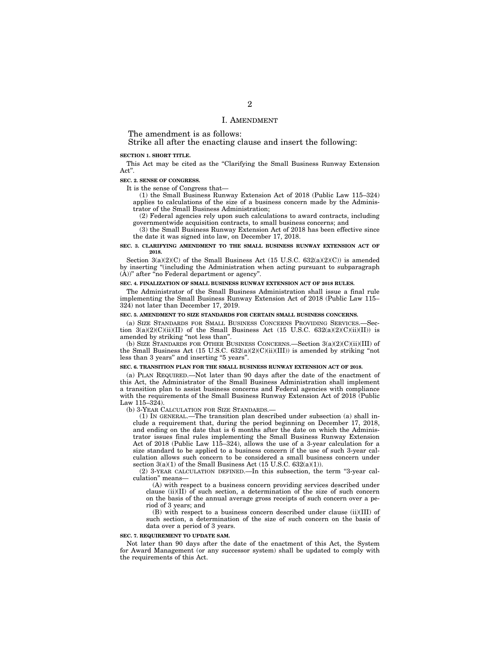#### I. AMENDMENT

The amendment is as follows:

Strike all after the enacting clause and insert the following:

#### **SECTION 1. SHORT TITLE.**

This Act may be cited as the "Clarifying the Small Business Runway Extension Act''.

#### **SEC. 2. SENSE OF CONGRESS.**

It is the sense of Congress that—

(1) the Small Business Runway Extension Act of 2018 (Public Law 115–324) applies to calculations of the size of a business concern made by the Administrator of the Small Business Administration;

(2) Federal agencies rely upon such calculations to award contracts, including governmentwide acquisition contracts, to small business concerns; and

(3) the Small Business Runway Extension Act of 2018 has been effective since the date it was signed into law, on December 17, 2018.

#### **SEC. 3. CLARIFYING AMENDMENT TO THE SMALL BUSINESS RUNWAY EXTENSION ACT OF 2018.**

Section 3(a)(2)(C) of the Small Business Act (15 U.S.C. 632(a)(2)(C)) is amended by inserting ''(including the Administration when acting pursuant to subparagraph  $(\tilde{A})$ " after "no Federal department or agency".

#### **SEC. 4. FINALIZATION OF SMALL BUSINESS RUNWAY EXTENSION ACT OF 2018 RULES.**

The Administrator of the Small Business Administration shall issue a final rule implementing the Small Business Runway Extension Act of 2018 (Public Law 115– 324) not later than December 17, 2019.

#### **SEC. 5. AMENDMENT TO SIZE STANDARDS FOR CERTAIN SMALL BUSINESS CONCERNS.**

(a) SIZE STANDARDS FOR SMALL BUSINESS CONCERNS PROVIDING SERVICES.—Section  $3(a)(2)(C)(ii)(II)$  of the Small Business Act (15 U.S.C. 632(a)(2)(C)(ii)(II)) is amended by striking ''not less than''.

(b) SIZE STANDARDS FOR OTHER BUSINESS CONCERNS.—Section  $3(a)(2)(C)(ii)(III)$  of the Small Business Act (15 U.S.C. 632(a)(2)(C)(ii)(III)) is amended by striking ''not less than 3 years'' and inserting ''5 years''.

#### **SEC. 6. TRANSITION PLAN FOR THE SMALL BUSINESS RUNWAY EXTENSION ACT OF 2018.**

(a) PLAN REQUIRED.—Not later than 90 days after the date of the enactment of this Act, the Administrator of the Small Business Administration shall implement a transition plan to assist business concerns and Federal agencies with compliance with the requirements of the Small Business Runway Extension Act of 2018 (Public Law  $115 - 324$ ).

(b) 3-YEAR CALCULATION FOR SIZE STANDARDS.—

(1) IN GENERAL.—The transition plan described under subsection (a) shall include a requirement that, during the period beginning on December 17, 2018, and ending on the date that is  $6$  months after the date on which the Administrator issues final rules implementing the Small Business Runway Extension Act of 2018 (Public Law 115–324), allows the use of a 3-year calculation for a size standard to be applied to a business concern if the use of such 3-year calculation allows such concern to be considered a small business concern under section  $3(a)(1)$  of the Small Business Act (15 U.S.C. 632(a)(1)).

(2) 3-YEAR CALCULATION DEFINED.—In this subsection, the term ''3-year calculation'' means—

(A) with respect to a business concern providing services described under clause  $(ii)(II)$  of such section, a determination of the size of such concern on the basis of the annual average gross receipts of such concern over a period of 3 years; and

(B) with respect to a business concern described under clause (ii)(III) of such section, a determination of the size of such concern on the basis of data over a period of 3 years.

#### **SEC. 7. REQUIREMENT TO UPDATE SAM.**

Not later than 90 days after the date of the enactment of this Act, the System for Award Management (or any successor system) shall be updated to comply with the requirements of this Act.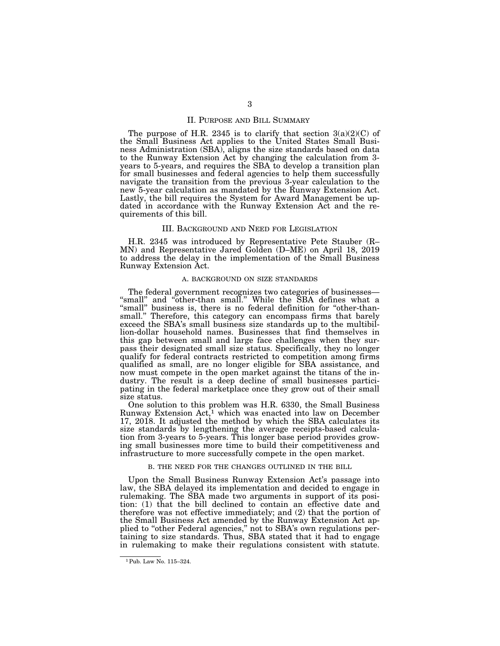#### II. PURPOSE AND BILL SUMMARY

The purpose of H.R. 2345 is to clarify that section  $3(a)(2)(C)$  of the Small Business Act applies to the United States Small Business Administration (SBA), aligns the size standards based on data to the Runway Extension Act by changing the calculation from 3 years to 5-years, and requires the SBA to develop a transition plan for small businesses and federal agencies to help them successfully navigate the transition from the previous 3-year calculation to the new 5-year calculation as mandated by the Runway Extension Act. Lastly, the bill requires the System for Award Management be updated in accordance with the Runway Extension Act and the requirements of this bill.

#### III. BACKGROUND AND NEED FOR LEGISLATION

H.R. 2345 was introduced by Representative Pete Stauber (R– MN) and Representative Jared Golden (D–ME) on April 18, 2019 to address the delay in the implementation of the Small Business Runway Extension Act.

### A. BACKGROUND ON SIZE STANDARDS

The federal government recognizes two categories of businesses— "small" and "other-than small." While the SBA defines what a "small" business is, there is no federal definition for "other-thansmall.'' Therefore, this category can encompass firms that barely exceed the SBA's small business size standards up to the multibillion-dollar household names. Businesses that find themselves in this gap between small and large face challenges when they surpass their designated small size status. Specifically, they no longer qualify for federal contracts restricted to competition among firms qualified as small, are no longer eligible for SBA assistance, and now must compete in the open market against the titans of the industry. The result is a deep decline of small businesses participating in the federal marketplace once they grow out of their small size status.

One solution to this problem was H.R. 6330, the Small Business Runway Extension Act,<sup>1</sup> which was enacted into law on December 17, 2018. It adjusted the method by which the SBA calculates its size standards by lengthening the average receipts-based calculation from 3-years to 5-years. This longer base period provides growing small businesses more time to build their competitiveness and infrastructure to more successfully compete in the open market.

#### B. THE NEED FOR THE CHANGES OUTLINED IN THE BILL

Upon the Small Business Runway Extension Act's passage into law, the SBA delayed its implementation and decided to engage in rulemaking. The SBA made two arguments in support of its position: (1) that the bill declined to contain an effective date and therefore was not effective immediately; and (2) that the portion of the Small Business Act amended by the Runway Extension Act applied to "other Federal agencies," not to SBA's own regulations pertaining to size standards. Thus, SBA stated that it had to engage in rulemaking to make their regulations consistent with statute.

<sup>1</sup>Pub. Law No. 115–324.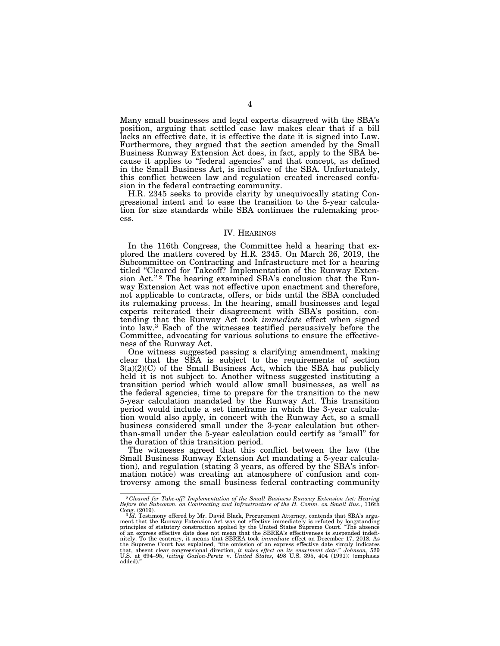Many small businesses and legal experts disagreed with the SBA's position, arguing that settled case law makes clear that if a bill lacks an effective date, it is effective the date it is signed into Law. Furthermore, they argued that the section amended by the Small Business Runway Extension Act does, in fact, apply to the SBA because it applies to ''federal agencies'' and that concept, as defined in the Small Business Act, is inclusive of the SBA. Unfortunately, this conflict between law and regulation created increased confusion in the federal contracting community.

H.R. 2345 seeks to provide clarity by unequivocally stating Congressional intent and to ease the transition to the 5-year calculation for size standards while SBA continues the rulemaking process.

# IV. HEARINGS

In the 116th Congress, the Committee held a hearing that explored the matters covered by H.R. 2345. On March 26, 2019, the Subcommittee on Contracting and Infrastructure met for a hearing titled "Cleared for Takeoff? Implementation of the Runway Extension Act."<sup>2</sup> The hearing examined SBA's conclusion that the Runway Extension Act was not effective upon enactment and therefore, not applicable to contracts, offers, or bids until the SBA concluded its rulemaking process. In the hearing, small businesses and legal experts reiterated their disagreement with SBA's position, contending that the Runway Act took *immediate* effect when signed into law.3 Each of the witnesses testified persuasively before the Committee, advocating for various solutions to ensure the effectiveness of the Runway Act.

One witness suggested passing a clarifying amendment, making clear that the SBA is subject to the requirements of section  $3(a)(2)(C)$  of the Small Business Act, which the SBA has publicly held it is not subject to. Another witness suggested instituting a transition period which would allow small businesses, as well as the federal agencies, time to prepare for the transition to the new 5-year calculation mandated by the Runway Act. This transition period would include a set timeframe in which the 3-year calculation would also apply, in concert with the Runway Act, so a small business considered small under the 3-year calculation but otherthan-small under the 5-year calculation could certify as ''small'' for the duration of this transition period.

The witnesses agreed that this conflict between the law (the Small Business Runway Extension Act mandating a 5-year calculation), and regulation (stating 3 years, as offered by the SBA's information notice) was creating an atmosphere of confusion and controversy among the small business federal contracting community

<sup>2</sup> *Cleared for Take-off? Implementation of the Small Business Runway Extension Act: Hearing Before the Subcomm. on Contracting and Infrastructure of the H. Comm. on Small Bus*., 116th

Cong. (2019).<br><sup>3</sup>*Id.* Testimony offered by Mr. David Black, Procurement Attorney, contends that SBA's argument that the Runway Extension Act was not effective immediately is refuted by longstanding principles of statutory of an express effective date does not mean that the SBREA's effectiveness is suspended indefi-<br>nitely. To the contrary, it means that SBREA took *immediate* effect on December 17, 2018. As<br>the Supreme Court has explained, that, absent clear congressional direction, *it takes effect on its enactment date." Johnson,* 529<br>U.S. at 694–95, (*citing Gozlon-Peretz v. United States*, 498 U.S. 395, 404 (1991)) (emphasis<br>added)."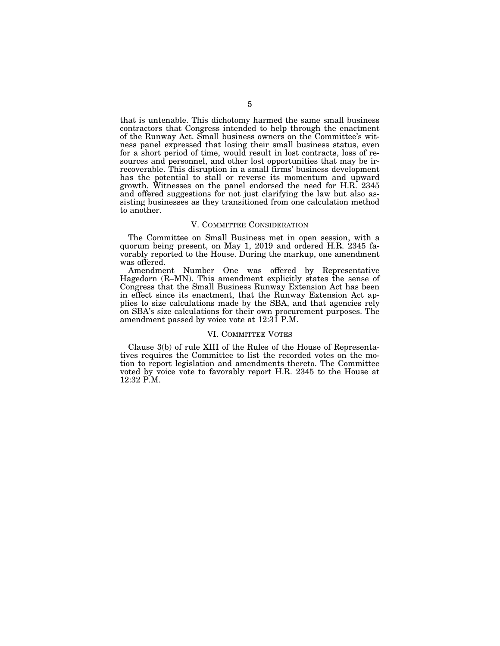that is untenable. This dichotomy harmed the same small business contractors that Congress intended to help through the enactment of the Runway Act. Small business owners on the Committee's witness panel expressed that losing their small business status, even for a short period of time, would result in lost contracts, loss of resources and personnel, and other lost opportunities that may be irrecoverable. This disruption in a small firms' business development has the potential to stall or reverse its momentum and upward growth. Witnesses on the panel endorsed the need for H.R. 2345 and offered suggestions for not just clarifying the law but also assisting businesses as they transitioned from one calculation method to another.

# V. COMMITTEE CONSIDERATION

The Committee on Small Business met in open session, with a quorum being present, on May 1, 2019 and ordered H.R. 2345 favorably reported to the House. During the markup, one amendment was offered.

Amendment Number One was offered by Representative Hagedorn (R–MN). This amendment explicitly states the sense of Congress that the Small Business Runway Extension Act has been in effect since its enactment, that the Runway Extension Act applies to size calculations made by the SBA, and that agencies rely on SBA's size calculations for their own procurement purposes. The amendment passed by voice vote at 12:31 P.M.

#### VI. COMMITTEE VOTES

Clause 3(b) of rule XIII of the Rules of the House of Representatives requires the Committee to list the recorded votes on the motion to report legislation and amendments thereto. The Committee voted by voice vote to favorably report H.R. 2345 to the House at 12:32 P.M.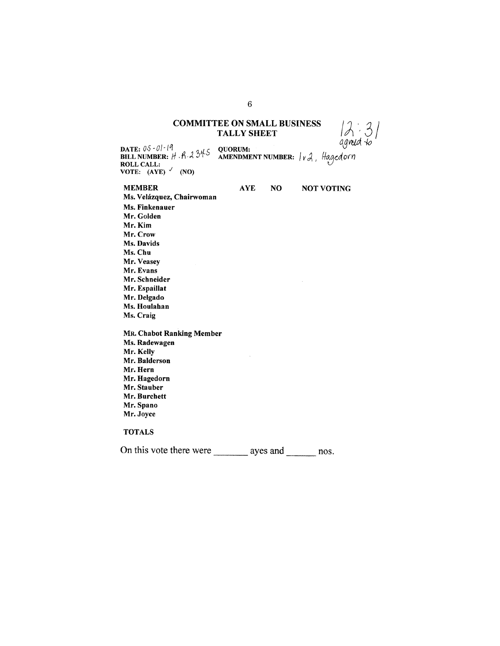# **COMMITTEE ON SMALL BUSINESS TALLY SHEET**

 $12.31$ <br>agreed to

DATE:  $05 - 01 - 19$ QUORUM: DATE:  $05 - 01 - 19$ <br>BILL NUMBER:  $H. 8.2345$ **AMENDMENT NUMBER:**  $|v \lambda|$ , Hagedorn **ROLL CALL:** VOTE:  $(AYE)$  (NO)

### **MEMBER**

**AYE** NO **NOT VOTING** 

Ms. Velázquez, Chairwoman Ms. Finkenauer Mr. Golden Mr. Kim Mr. Crow Ms. Davids Ms. Chu Mr. Veasey Mr. Evans Mr. Schneider Mr. Espaillat Mr. Delgado Ms. Houlahan Ms. Craig **MR. Chabot Ranking Member** 

Ms. Radewagen Mr. Kelly Mr. Balderson Mr. Hern Mr. Hagedorn Mr. Stauber Mr. Burchett Mr. Spano Mr. Joyce

# **TOTALS**

On this vote there were \_\_\_\_\_\_\_\_\_ ayes and \_\_\_\_\_\_\_\_ nos.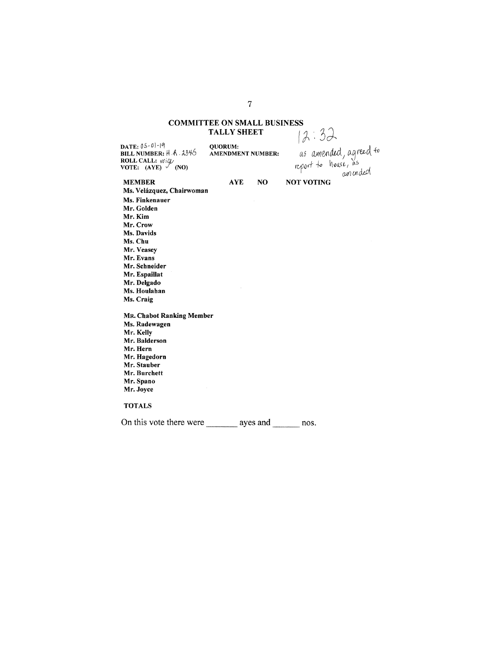# **COMMITTEE ON SMALL BUSINESS**  $72:32$ **TALLY SHEET**

DATE:  $05-0$  -19 QUORUM: DATE:  $0.5 - 0.1 - 19$ <br>BILL NUMBER:  $H \cdot \hat{A} \cdot 33\hat{+}6$ <br>ROLL CALL:  $\text{Vóig}$ <br>VOTE: (AYE) (NO) AMENDMENT NUMBER: **NO AYE** 

as amended, agreed to

**NOT VOTING** 

# **MEMBER**

Ms. Velázquez, Chairwoman Ms. Finkenauer Mr. Golden Mr. Kim Mr. Crow Ms. Davids Ms. Chu Mr. Veasey Mr. Evans Mr. Schneider Mr. Espaillat Mr. Delgado Ms. Houlahan Ms. Craig **MR. Chabot Ranking Member** 

Ms. Radewagen Mr. Kelly Mr. Balderson Mr. Hern Mr. Hagedorn Mr. Stauber Mr. Burchett Mr. Spano Mr. Joyce

# **TOTALS**

On this vote there were \_\_\_\_\_\_\_\_\_ ayes and \_\_\_\_\_\_\_\_ nos.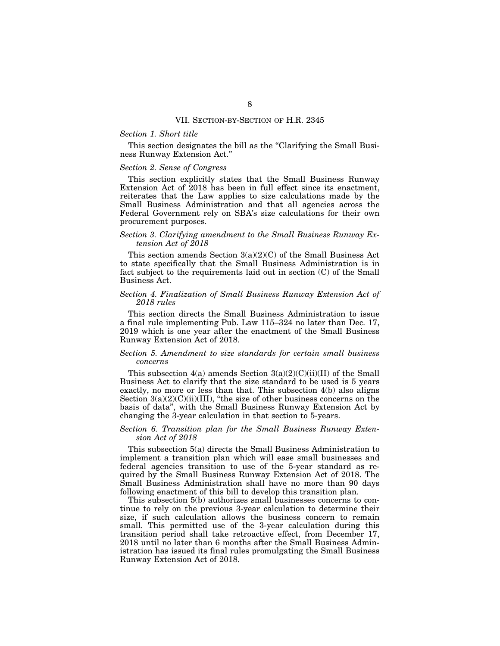#### VII. SECTION-BY-SECTION OF H.R. 2345

### *Section 1. Short title*

This section designates the bill as the "Clarifying the Small Business Runway Extension Act.''

#### *Section 2. Sense of Congress*

This section explicitly states that the Small Business Runway Extension Act of 2018 has been in full effect since its enactment, reiterates that the Law applies to size calculations made by the Small Business Administration and that all agencies across the Federal Government rely on SBA's size calculations for their own procurement purposes.

### *Section 3. Clarifying amendment to the Small Business Runway Extension Act of 2018*

This section amends Section 3(a)(2)(C) of the Small Business Act to state specifically that the Small Business Administration is in fact subject to the requirements laid out in section (C) of the Small Business Act.

### *Section 4. Finalization of Small Business Runway Extension Act of 2018 rules*

This section directs the Small Business Administration to issue a final rule implementing Pub. Law 115–324 no later than Dec. 17, 2019 which is one year after the enactment of the Small Business Runway Extension Act of 2018.

### *Section 5. Amendment to size standards for certain small business concerns*

This subsection  $4(a)$  amends Section  $3(a)(2)(C)(ii)(II)$  of the Small Business Act to clarify that the size standard to be used is 5 years exactly, no more or less than that. This subsection 4(b) also aligns Section  $3(a)(2)(C)(ii)(III)$ , "the size of other business concerns on the basis of data'', with the Small Business Runway Extension Act by changing the 3-year calculation in that section to 5-years.

### *Section 6. Transition plan for the Small Business Runway Extension Act of 2018*

This subsection 5(a) directs the Small Business Administration to implement a transition plan which will ease small businesses and federal agencies transition to use of the 5-year standard as required by the Small Business Runway Extension Act of 2018. The Small Business Administration shall have no more than 90 days following enactment of this bill to develop this transition plan.

This subsection 5(b) authorizes small businesses concerns to continue to rely on the previous 3-year calculation to determine their size, if such calculation allows the business concern to remain small. This permitted use of the 3-year calculation during this transition period shall take retroactive effect, from December 17, 2018 until no later than 6 months after the Small Business Administration has issued its final rules promulgating the Small Business Runway Extension Act of 2018.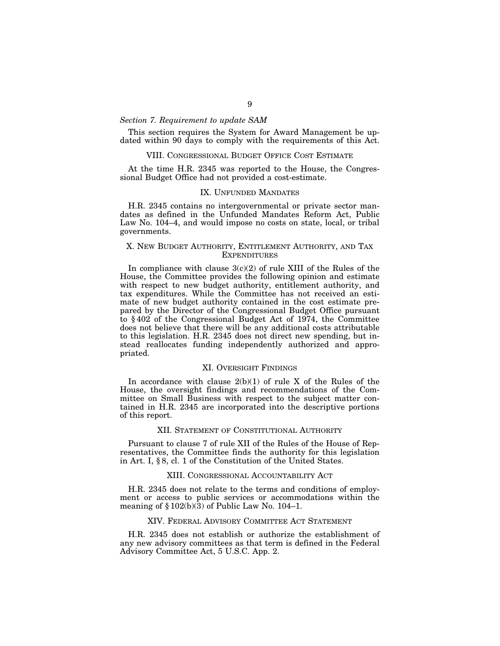# *Section 7. Requirement to update SAM*

This section requires the System for Award Management be updated within 90 days to comply with the requirements of this Act.

#### VIII. CONGRESSIONAL BUDGET OFFICE COST ESTIMATE

At the time H.R. 2345 was reported to the House, the Congressional Budget Office had not provided a cost-estimate.

## IX. UNFUNDED MANDATES

H.R. 2345 contains no intergovernmental or private sector mandates as defined in the Unfunded Mandates Reform Act, Public Law No. 104–4, and would impose no costs on state, local, or tribal governments.

### X. NEW BUDGET AUTHORITY, ENTITLEMENT AUTHORITY, AND TAX **EXPENDITURES**

In compliance with clause  $3(c)(2)$  of rule XIII of the Rules of the House, the Committee provides the following opinion and estimate with respect to new budget authority, entitlement authority, and tax expenditures. While the Committee has not received an estimate of new budget authority contained in the cost estimate prepared by the Director of the Congressional Budget Office pursuant to § 402 of the Congressional Budget Act of 1974, the Committee does not believe that there will be any additional costs attributable to this legislation. H.R. 2345 does not direct new spending, but instead reallocates funding independently authorized and appropriated.

#### XI. OVERSIGHT FINDINGS

In accordance with clause  $2(b)(1)$  of rule X of the Rules of the House, the oversight findings and recommendations of the Committee on Small Business with respect to the subject matter contained in H.R. 2345 are incorporated into the descriptive portions of this report.

#### XII. STATEMENT OF CONSTITUTIONAL AUTHORITY

Pursuant to clause 7 of rule XII of the Rules of the House of Representatives, the Committee finds the authority for this legislation in Art. I, § 8, cl. 1 of the Constitution of the United States.

### XIII. CONGRESSIONAL ACCOUNTABILITY ACT

H.R. 2345 does not relate to the terms and conditions of employment or access to public services or accommodations within the meaning of  $\S 102(b)(3)$  of Public Law No. 104–1.

#### XIV. FEDERAL ADVISORY COMMITTEE ACT STATEMENT

H.R. 2345 does not establish or authorize the establishment of any new advisory committees as that term is defined in the Federal Advisory Committee Act, 5 U.S.C. App. 2.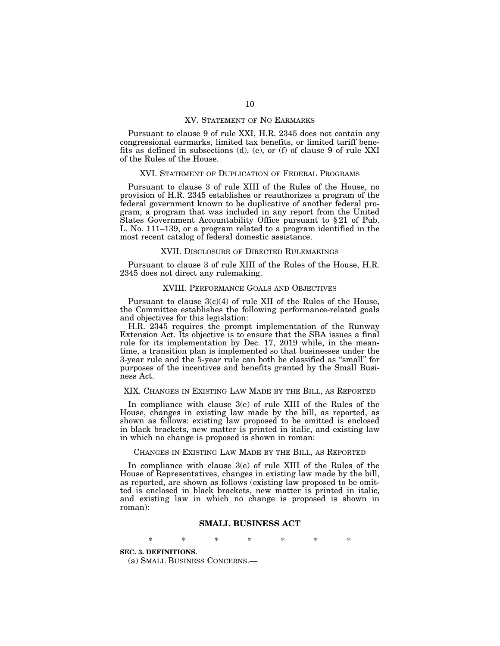#### XV. STATEMENT OF NO EARMARKS

Pursuant to clause 9 of rule XXI, H.R. 2345 does not contain any congressional earmarks, limited tax benefits, or limited tariff benefits as defined in subsections (d), (e), or (f) of clause 9 of rule XXI of the Rules of the House.

#### XVI. STATEMENT OF DUPLICATION OF FEDERAL PROGRAMS

Pursuant to clause 3 of rule XIII of the Rules of the House, no provision of H.R. 2345 establishes or reauthorizes a program of the federal government known to be duplicative of another federal program, a program that was included in any report from the United States Government Accountability Office pursuant to § 21 of Pub. L. No. 111–139, or a program related to a program identified in the most recent catalog of federal domestic assistance.

### XVII. DISCLOSURE OF DIRECTED RULEMAKINGS

Pursuant to clause 3 of rule XIII of the Rules of the House, H.R. 2345 does not direct any rulemaking.

#### XVIII. PERFORMANCE GOALS AND OBJECTIVES

Pursuant to clause  $3(c)(4)$  of rule XII of the Rules of the House, the Committee establishes the following performance-related goals and objectives for this legislation:

H.R. 2345 requires the prompt implementation of the Runway Extension Act. Its objective is to ensure that the SBA issues a final rule for its implementation by Dec. 17, 2019 while, in the meantime, a transition plan is implemented so that businesses under the 3-year rule and the 5-year rule can both be classified as ''small'' for purposes of the incentives and benefits granted by the Small Business Act.

#### XIX. CHANGES IN EXISTING LAW MADE BY THE BILL, AS REPORTED

In compliance with clause 3(e) of rule XIII of the Rules of the House, changes in existing law made by the bill, as reported, as shown as follows: existing law proposed to be omitted is enclosed in black brackets, new matter is printed in italic, and existing law in which no change is proposed is shown in roman:

#### CHANGES IN EXISTING LAW MADE BY THE BILL, AS REPORTED

In compliance with clause 3(e) of rule XIII of the Rules of the House of Representatives, changes in existing law made by the bill, as reported, are shown as follows (existing law proposed to be omitted is enclosed in black brackets, new matter is printed in italic, and existing law in which no change is proposed is shown in roman):

# **SMALL BUSINESS ACT**

\* \* \* \* \* \* \*

# **SEC. 3. DEFINITIONS.**

(a) SMALL BUSINESS CONCERNS.—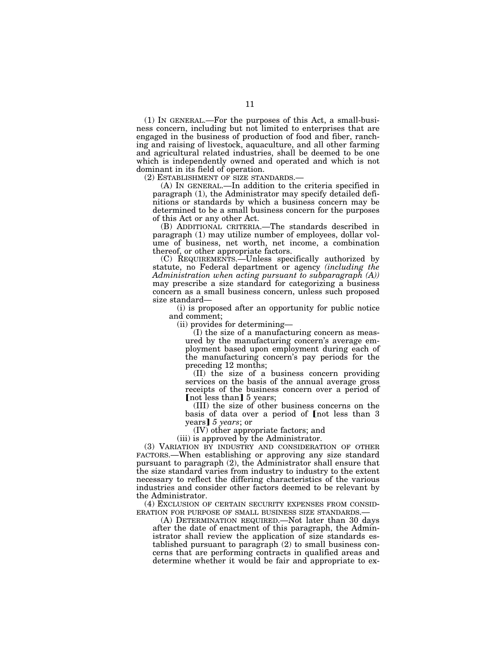(1) IN GENERAL.—For the purposes of this Act, a small-business concern, including but not limited to enterprises that are engaged in the business of production of food and fiber, ranching and raising of livestock, aquaculture, and all other farming and agricultural related industries, shall be deemed to be one which is independently owned and operated and which is not dominant in its field of operation.

(2) ESTABLISHMENT OF SIZE STANDARDS.— (A) IN GENERAL.—In addition to the criteria specified in paragraph (1), the Administrator may specify detailed definitions or standards by which a business concern may be determined to be a small business concern for the purposes of this Act or any other Act.

(B) ADDITIONAL CRITERIA.—The standards described in paragraph (1) may utilize number of employees, dollar volume of business, net worth, net income, a combination thereof, or other appropriate factors.

(C) REQUIREMENTS.—Unless specifically authorized by statute, no Federal department or agency *(including the Administration when acting pursuant to subparagraph (A))*  may prescribe a size standard for categorizing a business concern as a small business concern, unless such proposed size standard—

(i) is proposed after an opportunity for public notice and comment;

(ii) provides for determining—

(I) the size of a manufacturing concern as measured by the manufacturing concern's average employment based upon employment during each of the manufacturing concern's pay periods for the preceding 12 months;

(II) the size of a business concern providing services on the basis of the annual average gross receipts of the business concern over a period of [not less than] 5 years;

(III) the size of other business concerns on the basis of data over a period of [not less than 3 years] 5 years; or

(IV) other appropriate factors; and

(iii) is approved by the Administrator.

(3) VARIATION BY INDUSTRY AND CONSIDERATION OF OTHER FACTORS.—When establishing or approving any size standard pursuant to paragraph (2), the Administrator shall ensure that the size standard varies from industry to industry to the extent necessary to reflect the differing characteristics of the various industries and consider other factors deemed to be relevant by the Administrator.

(4) EXCLUSION OF CERTAIN SECURITY EXPENSES FROM CONSID-

ERATION FOR PURPOSE OF SMALL BUSINESS SIZE STANDARDS.— (A) DETERMINATION REQUIRED.—Not later than 30 days after the date of enactment of this paragraph, the Administrator shall review the application of size standards established pursuant to paragraph (2) to small business concerns that are performing contracts in qualified areas and determine whether it would be fair and appropriate to ex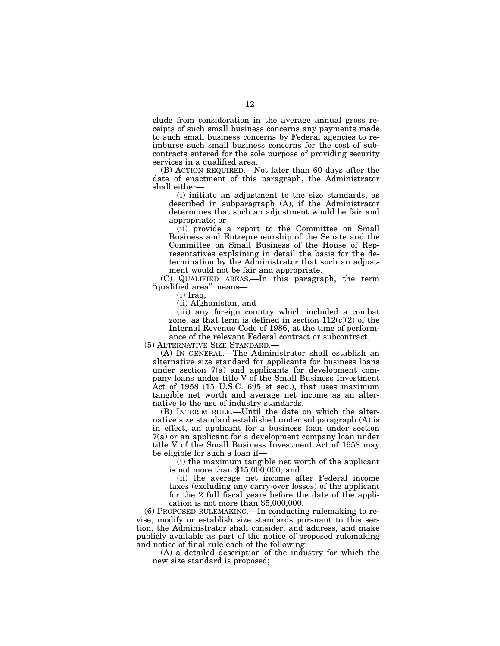clude from consideration in the average annual gross receipts of such small business concerns any payments made to such small business concerns by Federal agencies to reimburse such small business concerns for the cost of subcontracts entered for the sole purpose of providing security services in a qualified area.

(B) ACTION REQUIRED.—Not later than 60 days after the date of enactment of this paragraph, the Administrator shall either—

(i) initiate an adjustment to the size standards, as described in subparagraph (A), if the Administrator determines that such an adjustment would be fair and appropriate; or

(ii) provide a report to the Committee on Small Business and Entrepreneurship of the Senate and the Committee on Small Business of the House of Representatives explaining in detail the basis for the determination by the Administrator that such an adjustment would not be fair and appropriate.

(C) QUALIFIED AREAS.—In this paragraph, the term ''qualified area'' means—

(i) Iraq,

(ii) Afghanistan, and

(iii) any foreign country which included a combat zone, as that term is defined in section  $112(c)(2)$  of the Internal Revenue Code of 1986, at the time of performance of the relevant Federal contract or subcontract.

(5) ALTERNATIVE SIZE STANDARD.—

(A) IN GENERAL.—The Administrator shall establish an alternative size standard for applicants for business loans under section 7(a) and applicants for development company loans under title V of the Small Business Investment Act of 1958 (15 U.S.C. 695 et seq.), that uses maximum tangible net worth and average net income as an alternative to the use of industry standards.

(B) INTERIM RULE.—Until the date on which the alternative size standard established under subparagraph (A) is in effect, an applicant for a business loan under section 7(a) or an applicant for a development company loan under title V of the Small Business Investment Act of 1958 may be eligible for such a loan if—

(i) the maximum tangible net worth of the applicant is not more than \$15,000,000; and

(ii) the average net income after Federal income taxes (excluding any carry-over losses) of the applicant for the 2 full fiscal years before the date of the application is not more than \$5,000,000.

(6) PROPOSED RULEMAKING.—In conducting rulemaking to revise, modify or establish size standards pursuant to this section, the Administrator shall consider, and address, and make publicly available as part of the notice of proposed rulemaking and notice of final rule each of the following:

(A) a detailed description of the industry for which the new size standard is proposed;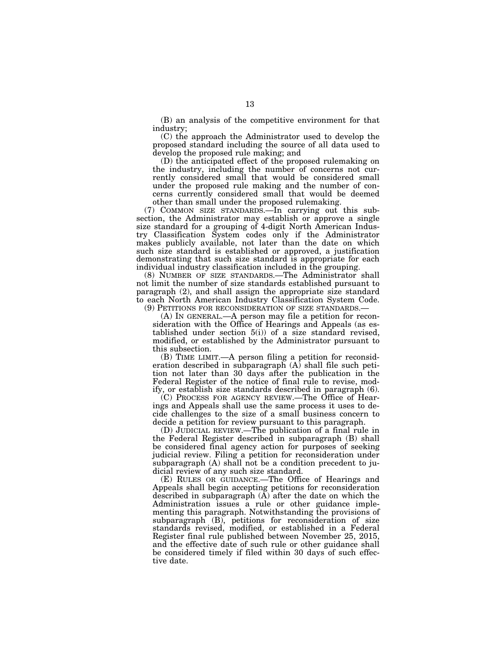(B) an analysis of the competitive environment for that industry;

(C) the approach the Administrator used to develop the proposed standard including the source of all data used to develop the proposed rule making; and

(D) the anticipated effect of the proposed rulemaking on the industry, including the number of concerns not currently considered small that would be considered small under the proposed rule making and the number of concerns currently considered small that would be deemed other than small under the proposed rulemaking.

(7) COMMON SIZE STANDARDS.—In carrying out this subsection, the Administrator may establish or approve a single size standard for a grouping of 4-digit North American Industry Classification System codes only if the Administrator makes publicly available, not later than the date on which such size standard is established or approved, a justification demonstrating that such size standard is appropriate for each individual industry classification included in the grouping.

(8) NUMBER OF SIZE STANDARDS.—The Administrator shall not limit the number of size standards established pursuant to paragraph (2), and shall assign the appropriate size standard to each North American Industry Classification System Code.

(9) PETITIONS FOR RECONSIDERATION OF SIZE STANDARDS.— (A) IN GENERAL.—A person may file a petition for reconsideration with the Office of Hearings and Appeals (as established under section  $5(i)$  of a size standard revised, modified, or established by the Administrator pursuant to this subsection.

(B) TIME LIMIT.—A person filing a petition for reconsideration described in subparagraph  $(A)$  shall file such petition not later than 30 days after the publication in the Federal Register of the notice of final rule to revise, modify, or establish size standards described in paragraph (6).

(C) PROCESS FOR AGENCY REVIEW.—The Office of Hearings and Appeals shall use the same process it uses to decide challenges to the size of a small business concern to decide a petition for review pursuant to this paragraph.

(D) JUDICIAL REVIEW.—The publication of a final rule in the Federal Register described in subparagraph (B) shall be considered final agency action for purposes of seeking judicial review. Filing a petition for reconsideration under subparagraph (A) shall not be a condition precedent to judicial review of any such size standard.

(E) RULES OR GUIDANCE.—The Office of Hearings and Appeals shall begin accepting petitions for reconsideration described in subparagraph (A) after the date on which the Administration issues a rule or other guidance implementing this paragraph. Notwithstanding the provisions of subparagraph (B), petitions for reconsideration of size standards revised, modified, or established in a Federal Register final rule published between November 25, 2015, and the effective date of such rule or other guidance shall be considered timely if filed within 30 days of such effective date.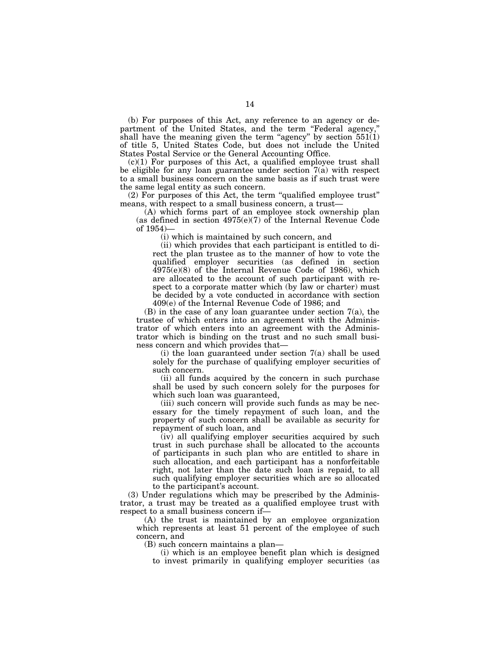(b) For purposes of this Act, any reference to an agency or department of the United States, and the term ''Federal agency,'' shall have the meaning given the term "agency" by section  $551(1)$ of title 5, United States Code, but does not include the United States Postal Service or the General Accounting Office.

 $(c)(1)$  For purposes of this Act, a qualified employee trust shall be eligible for any loan guarantee under section  $7(a)$  with respect to a small business concern on the same basis as if such trust were the same legal entity as such concern.

(2) For purposes of this Act, the term ''qualified employee trust'' means, with respect to a small business concern, a trust—

(A) which forms part of an employee stock ownership plan (as defined in section  $4975(e)(7)$  of the Internal Revenue Code of 1954)—

(i) which is maintained by such concern, and

(ii) which provides that each participant is entitled to direct the plan trustee as to the manner of how to vote the qualified employer securities (as defined in section 4975(e)(8) of the Internal Revenue Code of 1986), which are allocated to the account of such participant with respect to a corporate matter which (by law or charter) must be decided by a vote conducted in accordance with section 409(e) of the Internal Revenue Code of 1986; and

(B) in the case of any loan guarantee under section 7(a), the trustee of which enters into an agreement with the Administrator of which enters into an agreement with the Administrator which is binding on the trust and no such small business concern and which provides that—

(i) the loan guaranteed under section  $7(a)$  shall be used solely for the purchase of qualifying employer securities of such concern.

(ii) all funds acquired by the concern in such purchase shall be used by such concern solely for the purposes for which such loan was guaranteed,

(iii) such concern will provide such funds as may be necessary for the timely repayment of such loan, and the property of such concern shall be available as security for repayment of such loan, and

(iv) all qualifying employer securities acquired by such trust in such purchase shall be allocated to the accounts of participants in such plan who are entitled to share in such allocation, and each participant has a nonforfeitable right, not later than the date such loan is repaid, to all such qualifying employer securities which are so allocated to the participant's account.

(3) Under regulations which may be prescribed by the Administrator, a trust may be treated as a qualified employee trust with respect to a small business concern if—

(A) the trust is maintained by an employee organization which represents at least 51 percent of the employee of such concern, and

(B) such concern maintains a plan—

(i) which is an employee benefit plan which is designed to invest primarily in qualifying employer securities (as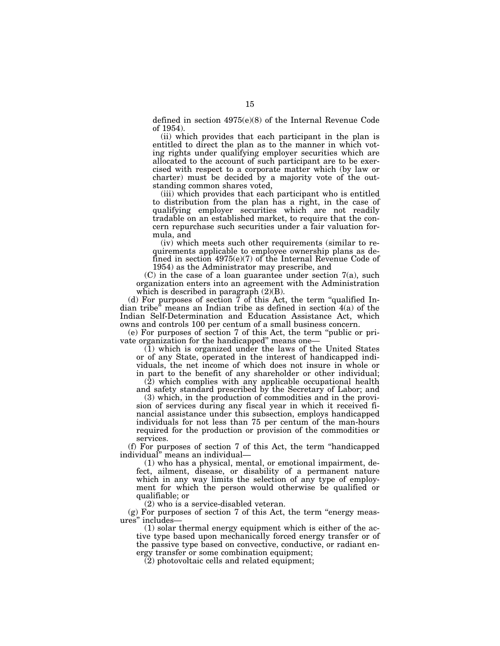defined in section 4975(e)(8) of the Internal Revenue Code of 1954).

(ii) which provides that each participant in the plan is entitled to direct the plan as to the manner in which voting rights under qualifying employer securities which are allocated to the account of such participant are to be exercised with respect to a corporate matter which (by law or charter) must be decided by a majority vote of the outstanding common shares voted,

(iii) which provides that each participant who is entitled to distribution from the plan has a right, in the case of qualifying employer securities which are not readily tradable on an established market, to require that the concern repurchase such securities under a fair valuation formula, and

(iv) which meets such other requirements (similar to requirements applicable to employee ownership plans as defined in section 4975(e)(7) of the Internal Revenue Code of 1954) as the Administrator may prescribe, and

(C) in the case of a loan guarantee under section 7(a), such organization enters into an agreement with the Administration which is described in paragraph  $(2)(B)$ .

(d) For purposes of section  $\overline{7}$  of this Act, the term "qualified Indian tribe" means an Indian tribe as defined in section  $4(a)$  of the Indian Self-Determination and Education Assistance Act, which owns and controls 100 per centum of a small business concern.

(e) For purposes of section 7 of this Act, the term ''public or private organization for the handicapped'' means one—

 $(1)$  which is organized under the laws of the United States or of any State, operated in the interest of handicapped individuals, the net income of which does not insure in whole or in part to the benefit of any shareholder or other individual;

 $(2)$  which complies with any applicable occupational health and safety standard prescribed by the Secretary of Labor; and

(3) which, in the production of commodities and in the provision of services during any fiscal year in which it received financial assistance under this subsection, employs handicapped individuals for not less than 75 per centum of the man-hours required for the production or provision of the commodities or services.

(f) For purposes of section 7 of this Act, the term ''handicapped individual'' means an individual—

(1) who has a physical, mental, or emotional impairment, defect, ailment, disease, or disability of a permanent nature which in any way limits the selection of any type of employment for which the person would otherwise be qualified or qualifiable; or

(2) who is a service-disabled veteran.

 $(g)$  For purposes of section 7 of this Act, the term "energy measures'' includes—

(1) solar thermal energy equipment which is either of the active type based upon mechanically forced energy transfer or of the passive type based on convective, conductive, or radiant energy transfer or some combination equipment;

 $(2)$  photovoltaic cells and related equipment;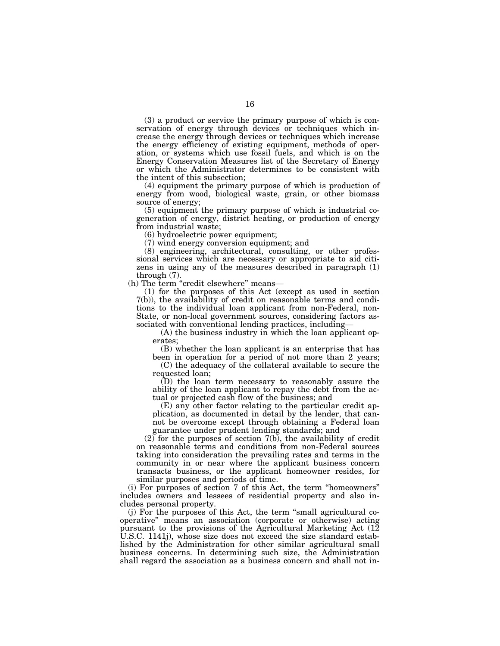(3) a product or service the primary purpose of which is conservation of energy through devices or techniques which increase the energy through devices or techniques which increase the energy efficiency of existing equipment, methods of operation, or systems which use fossil fuels, and which is on the Energy Conservation Measures list of the Secretary of Energy or which the Administrator determines to be consistent with the intent of this subsection;

(4) equipment the primary purpose of which is production of energy from wood, biological waste, grain, or other biomass source of energy;

(5) equipment the primary purpose of which is industrial cogeneration of energy, district heating, or production of energy from industrial waste;

(6) hydroelectric power equipment;

(7) wind energy conversion equipment; and

(8) engineering, architectural, consulting, or other professional services which are necessary or appropriate to aid citizens in using any of the measures described in paragraph (1) through (7).

(h) The term "credit elsewhere" means—

(1) for the purposes of this Act (except as used in section 7(b)), the availability of credit on reasonable terms and conditions to the individual loan applicant from non-Federal, non-State, or non-local government sources, considering factors associated with conventional lending practices, including—

(A) the business industry in which the loan applicant operates;

(B) whether the loan applicant is an enterprise that has been in operation for a period of not more than 2 years;

(C) the adequacy of the collateral available to secure the requested loan;

(D) the loan term necessary to reasonably assure the ability of the loan applicant to repay the debt from the actual or projected cash flow of the business; and

(E) any other factor relating to the particular credit application, as documented in detail by the lender, that cannot be overcome except through obtaining a Federal loan guarantee under prudent lending standards; and

(2) for the purposes of section 7(b), the availability of credit on reasonable terms and conditions from non-Federal sources taking into consideration the prevailing rates and terms in the community in or near where the applicant business concern transacts business, or the applicant homeowner resides, for similar purposes and periods of time.

(i) For purposes of section 7 of this Act, the term ''homeowners'' includes owners and lessees of residential property and also includes personal property.

(j) For the purposes of this Act, the term ''small agricultural cooperative'' means an association (corporate or otherwise) acting pursuant to the provisions of the Agricultural Marketing Act (12 U.S.C. 1141j), whose size does not exceed the size standard established by the Administration for other similar agricultural small business concerns. In determining such size, the Administration shall regard the association as a business concern and shall not in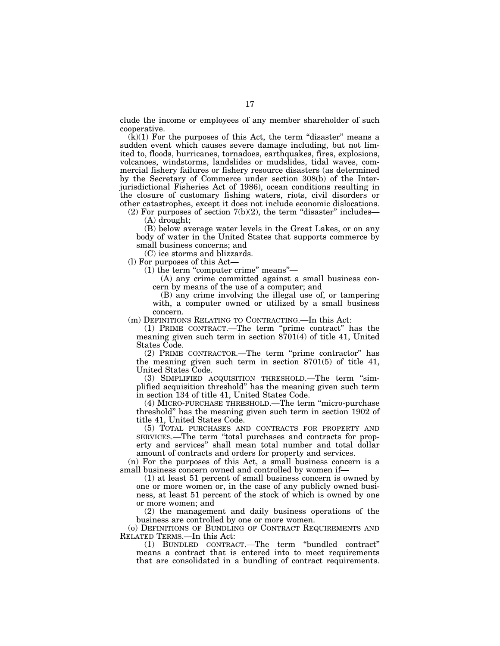clude the income or employees of any member shareholder of such cooperative.

 $(k)(1)$  For the purposes of this Act, the term "disaster" means a sudden event which causes severe damage including, but not limited to, floods, hurricanes, tornadoes, earthquakes, fires, explosions, volcanoes, windstorms, landslides or mudslides, tidal waves, commercial fishery failures or fishery resource disasters (as determined by the Secretary of Commerce under section 308(b) of the Interjurisdictional Fisheries Act of 1986), ocean conditions resulting in the closure of customary fishing waters, riots, civil disorders or other catastrophes, except it does not include economic dislocations.

(2) For purposes of section  $7(b)(2)$ , the term "disaster" includes— (A) drought;

(B) below average water levels in the Great Lakes, or on any body of water in the United States that supports commerce by small business concerns; and

(C) ice storms and blizzards.

(l) For purposes of this Act—

 $(1)$  the term "computer crime" means"—

(A) any crime committed against a small business concern by means of the use of a computer; and

(B) any crime involving the illegal use of, or tampering with, a computer owned or utilized by a small business concern.

(m) DEFINITIONS RELATING TO CONTRACTING.—In this Act:

(1) PRIME CONTRACT.—The term ''prime contract'' has the meaning given such term in section 8701(4) of title 41, United States Code.

(2) PRIME CONTRACTOR.—The term ''prime contractor'' has the meaning given such term in section 8701(5) of title 41, United States Code.

(3) SIMPLIFIED ACQUISITION THRESHOLD.—The term ''simplified acquisition threshold'' has the meaning given such term in section 134 of title 41, United States Code.

(4) MICRO-PURCHASE THRESHOLD.—The term ''micro-purchase threshold'' has the meaning given such term in section 1902 of title 41, United States Code.

(5) TOTAL PURCHASES AND CONTRACTS FOR PROPERTY AND SERVICES.—The term ''total purchases and contracts for property and services'' shall mean total number and total dollar amount of contracts and orders for property and services.

(n) For the purposes of this Act, a small business concern is a small business concern owned and controlled by women if—

(1) at least 51 percent of small business concern is owned by one or more women or, in the case of any publicly owned business, at least 51 percent of the stock of which is owned by one or more women; and

(2) the management and daily business operations of the business are controlled by one or more women.

(o) DEFINITIONS OF BUNDLING OF CONTRACT REQUIREMENTS AND RELATED TERMS.—In this Act:

(1) BUNDLED CONTRACT.—The term ''bundled contract'' means a contract that is entered into to meet requirements that are consolidated in a bundling of contract requirements.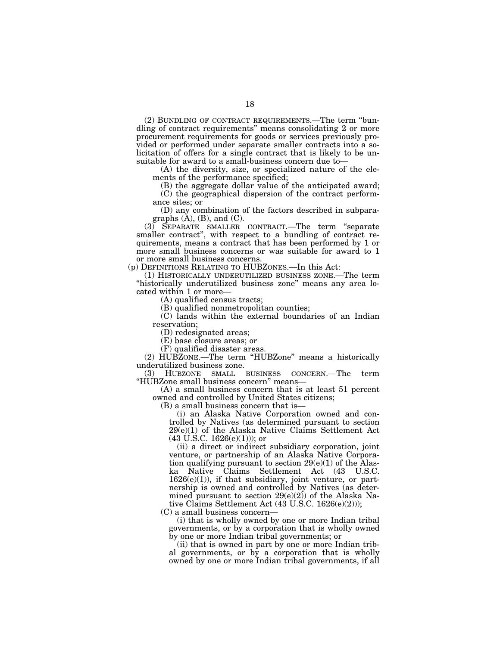(2) BUNDLING OF CONTRACT REQUIREMENTS.—The term ''bundling of contract requirements'' means consolidating 2 or more procurement requirements for goods or services previously provided or performed under separate smaller contracts into a solicitation of offers for a single contract that is likely to be unsuitable for award to a small-business concern due to—

(A) the diversity, size, or specialized nature of the elements of the performance specified;

(B) the aggregate dollar value of the anticipated award; (C) the geographical dispersion of the contract perform-

ance sites; or

(D) any combination of the factors described in subparagraphs  $(A)$ ,  $(B)$ , and  $(C)$ .

(3) SEPARATE SMALLER CONTRACT.—The term ''separate smaller contract", with respect to a bundling of contract requirements, means a contract that has been performed by 1 or more small business concerns or was suitable for award to 1 or more small business concerns.

(p) DEFINITIONS RELATING TO HUBZONES.—In this Act:

(1) HISTORICALLY UNDERUTILIZED BUSINESS ZONE.—The term "historically underutilized business zone" means any area located within 1 or more—

(A) qualified census tracts;

(B) qualified nonmetropolitan counties;

(C) lands within the external boundaries of an Indian reservation;

(D) redesignated areas;

(E) base closure areas; or

(F) qualified disaster areas.

(2) HUBZONE.—The term ''HUBZone'' means a historically underutilized business zone.

(3) HUBZONE SMALL BUSINESS CONCERN.—The term ''HUBZone small business concern'' means—

(A) a small business concern that is at least 51 percent owned and controlled by United States citizens;

(B) a small business concern that is—

(i) an Alaska Native Corporation owned and controlled by Natives (as determined pursuant to section 29(e)(1) of the Alaska Native Claims Settlement Act  $(43 \text{ U.S.C. } 1626(e)(1))$ ; or

(ii) a direct or indirect subsidiary corporation, joint venture, or partnership of an Alaska Native Corporation qualifying pursuant to section  $29(e)(1)$  of the Alaska Native Claims Settlement Act (43 U.S.C.  $1626(e)(1)$ ), if that subsidiary, joint venture, or partnership is owned and controlled by Natives (as determined pursuant to section  $29(e)(2)$  of the Alaska Native Claims Settlement Act (43 U.S.C. 1626(e)(2)));

(C) a small business concern—

(i) that is wholly owned by one or more Indian tribal governments, or by a corporation that is wholly owned by one or more Indian tribal governments; or

(ii) that is owned in part by one or more Indian tribal governments, or by a corporation that is wholly owned by one or more Indian tribal governments, if all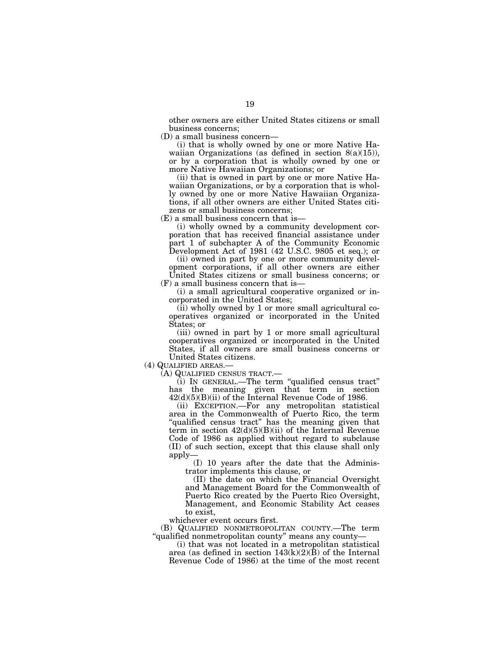other owners are either United States citizens or small business concerns;

(D) a small business concern—

(i) that is wholly owned by one or more Native Hawaiian Organizations (as defined in section  $8(a)(15)$ ), or by a corporation that is wholly owned by one or more Native Hawaiian Organizations; or

(ii) that is owned in part by one or more Native Hawaiian Organizations, or by a corporation that is wholly owned by one or more Native Hawaiian Organizations, if all other owners are either United States citizens or small business concerns;

(E) a small business concern that is—

(i) wholly owned by a community development corporation that has received financial assistance under part 1 of subchapter A of the Community Economic Development Act of 1981 (42 U.S.C. 9805 et seq.); or

(ii) owned in part by one or more community development corporations, if all other owners are either United States citizens or small business concerns; or

(F) a small business concern that is—

(i) a small agricultural cooperative organized or incorporated in the United States;

(ii) wholly owned by 1 or more small agricultural cooperatives organized or incorporated in the United States; or

(iii) owned in part by 1 or more small agricultural cooperatives organized or incorporated in the United States, if all owners are small business concerns or United States citizens.

(4) QUALIFIED AREAS.— (A) QUALIFIED CENSUS TRACT.—

(i) IN GENERAL.—The term ''qualified census tract'' has the meaning given that term in section  $42(d)(5)(B)(ii)$  of the Internal Revenue Code of 1986.

(ii) EXCEPTION.—For any metropolitan statistical area in the Commonwealth of Puerto Rico, the term "qualified census tract" has the meaning given that term in section  $42(d)(5)(B)(ii)$  of the Internal Revenue Code of 1986 as applied without regard to subclause (II) of such section, except that this clause shall only apply—

(I) 10 years after the date that the Administrator implements this clause, or

(II) the date on which the Financial Oversight and Management Board for the Commonwealth of Puerto Rico created by the Puerto Rico Oversight, Management, and Economic Stability Act ceases to exist,

whichever event occurs first.

(B) QUALIFIED NONMETROPOLITAN COUNTY.—The term "qualified nonmetropolitan county" means any county-

(i) that was not located in a metropolitan statistical area (as defined in section  $143(k)(2)(B)$  of the Internal Revenue Code of 1986) at the time of the most recent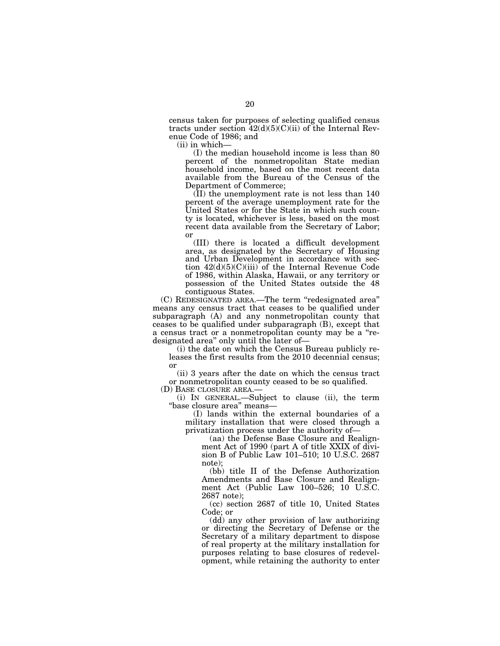census taken for purposes of selecting qualified census tracts under section  $42(d)(5)(C)(ii)$  of the Internal Revenue Code of 1986; and

(ii) in which—

(I) the median household income is less than 80 percent of the nonmetropolitan State median household income, based on the most recent data available from the Bureau of the Census of the Department of Commerce;

(II) the unemployment rate is not less than 140 percent of the average unemployment rate for the United States or for the State in which such county is located, whichever is less, based on the most recent data available from the Secretary of Labor; or

(III) there is located a difficult development area, as designated by the Secretary of Housing and Urban Development in accordance with section  $42(d)(5)(C)(iii)$  of the Internal Revenue Code of 1986, within Alaska, Hawaii, or any territory or possession of the United States outside the 48 contiguous States.

(C) REDESIGNATED AREA.—The term ''redesignated area'' means any census tract that ceases to be qualified under subparagraph (A) and any nonmetropolitan county that ceases to be qualified under subparagraph (B), except that a census tract or a nonmetropolitan county may be a ''redesignated area'' only until the later of—

(i) the date on which the Census Bureau publicly releases the first results from the 2010 decennial census; or

(ii) 3 years after the date on which the census tract or nonmetropolitan county ceased to be so qualified.

(D) BASE CLOSURE AREA.—

(i) IN GENERAL.—Subject to clause (ii), the term ''base closure area'' means—

(I) lands within the external boundaries of a military installation that were closed through a privatization process under the authority of—

(aa) the Defense Base Closure and Realignment Act of 1990 (part A of title XXIX of division B of Public Law 101–510; 10 U.S.C. 2687 note);

(bb) title II of the Defense Authorization Amendments and Base Closure and Realignment Act (Public Law 100–526; 10 U.S.C. 2687 note);

(cc) section 2687 of title 10, United States Code; or

(dd) any other provision of law authorizing or directing the Secretary of Defense or the Secretary of a military department to dispose of real property at the military installation for purposes relating to base closures of redevelopment, while retaining the authority to enter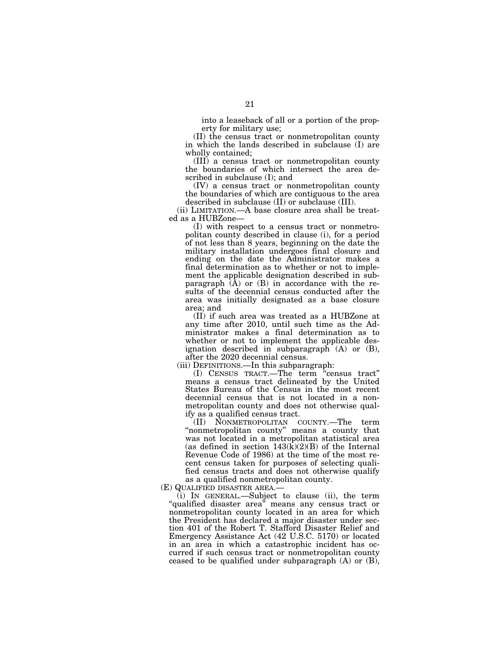into a leaseback of all or a portion of the property for military use;

(II) the census tract or nonmetropolitan county in which the lands described in subclause (I) are wholly contained;

(III) a census tract or nonmetropolitan county the boundaries of which intersect the area described in subclause (I); and

(IV) a census tract or nonmetropolitan county the boundaries of which are contiguous to the area described in subclause (II) or subclause (III).

(ii) LIMITATION.—A base closure area shall be treated as a HUBZone—

(I) with respect to a census tract or nonmetropolitan county described in clause (i), for a period of not less than 8 years, beginning on the date the military installation undergoes final closure and ending on the date the Administrator makes a final determination as to whether or not to implement the applicable designation described in subparagraph  $(\overline{A})$  or  $(B)$  in accordance with the results of the decennial census conducted after the area was initially designated as a base closure area; and

(II) if such area was treated as a HUBZone at any time after 2010, until such time as the Administrator makes a final determination as to whether or not to implement the applicable designation described in subparagraph  $(A)$  or  $(B)$ , after the 2020 decennial census.

(iii) DEFINITIONS.—In this subparagraph:

(I) CENSUS TRACT.—The term ''census tract'' means a census tract delineated by the United States Bureau of the Census in the most recent decennial census that is not located in a nonmetropolitan county and does not otherwise qualify as a qualified census tract.

(II) NONMETROPOLITAN COUNTY.—The term "nonmetropolitan county" means a county that was not located in a metropolitan statistical area (as defined in section  $143(k)(2)(B)$  of the Internal Revenue Code of 1986) at the time of the most recent census taken for purposes of selecting qualified census tracts and does not otherwise qualify as a qualified nonmetropolitan county.

(E) QUALIFIED DISASTER AREA.—

(i) IN GENERAL.—Subject to clause (ii), the term ''qualified disaster area'' means any census tract or nonmetropolitan county located in an area for which the President has declared a major disaster under section 401 of the Robert T. Stafford Disaster Relief and Emergency Assistance Act (42 U.S.C. 5170) or located in an area in which a catastrophic incident has occurred if such census tract or nonmetropolitan county ceased to be qualified under subparagraph (A) or (B),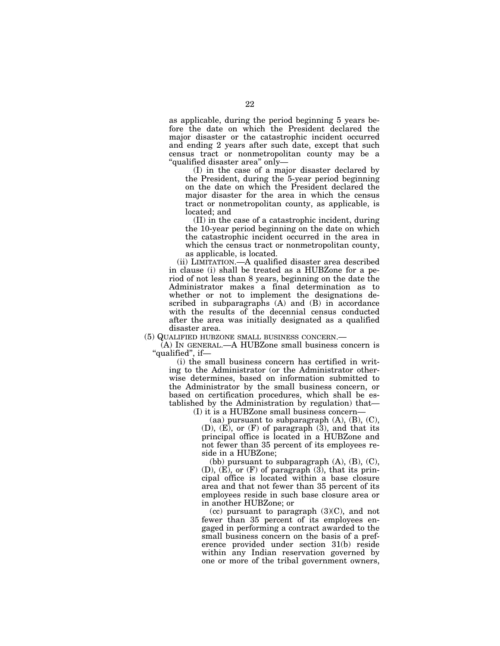as applicable, during the period beginning 5 years before the date on which the President declared the major disaster or the catastrophic incident occurred and ending 2 years after such date, except that such census tract or nonmetropolitan county may be a ''qualified disaster area'' only—

(I) in the case of a major disaster declared by the President, during the 5-year period beginning on the date on which the President declared the major disaster for the area in which the census tract or nonmetropolitan county, as applicable, is located; and

(II) in the case of a catastrophic incident, during the 10-year period beginning on the date on which the catastrophic incident occurred in the area in which the census tract or nonmetropolitan county, as applicable, is located.

(ii) LIMITATION.—A qualified disaster area described in clause (i) shall be treated as a HUBZone for a period of not less than 8 years, beginning on the date the Administrator makes a final determination as to whether or not to implement the designations described in subparagraphs (A) and (B) in accordance with the results of the decennial census conducted after the area was initially designated as a qualified disaster area.

(5) QUALIFIED HUBZONE SMALL BUSINESS CONCERN.—

(A) IN GENERAL.—A HUBZone small business concern is ''qualified'', if—

(i) the small business concern has certified in writing to the Administrator (or the Administrator otherwise determines, based on information submitted to the Administrator by the small business concern, or based on certification procedures, which shall be established by the Administration by regulation) that—

(I) it is a HUBZone small business concern—

(aa) pursuant to subparagraph  $(A)$ ,  $(B)$ ,  $(C)$ , (D), (E), or (F) of paragraph (3), and that its principal office is located in a HUBZone and not fewer than 35 percent of its employees reside in a HUBZone;

(bb) pursuant to subparagraph  $(A)$ ,  $(B)$ ,  $(C)$ ,  $(D)$ ,  $(E)$ , or  $(F)$  of paragraph  $(3)$ , that its principal office is located within a base closure area and that not fewer than 35 percent of its employees reside in such base closure area or in another HUBZone; or

(cc) pursuant to paragraph (3)(C), and not fewer than 35 percent of its employees engaged in performing a contract awarded to the small business concern on the basis of a preference provided under section 31(b) reside within any Indian reservation governed by one or more of the tribal government owners,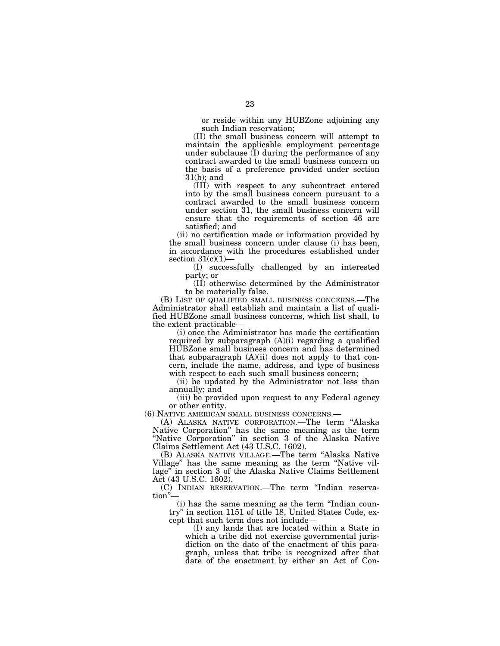or reside within any HUBZone adjoining any such Indian reservation;

(II) the small business concern will attempt to maintain the applicable employment percentage under subclause (I) during the performance of any contract awarded to the small business concern on the basis of a preference provided under section 31(b); and

(III) with respect to any subcontract entered into by the small business concern pursuant to a contract awarded to the small business concern under section 31, the small business concern will ensure that the requirements of section 46 are satisfied; and

(ii) no certification made or information provided by the small business concern under clause (i) has been, in accordance with the procedures established under section  $31(c)(1)$ -

(I) successfully challenged by an interested party; or

(II) otherwise determined by the Administrator to be materially false.

(B) LIST OF QUALIFIED SMALL BUSINESS CONCERNS.—The Administrator shall establish and maintain a list of qualified HUBZone small business concerns, which list shall, to the extent practicable—

(i) once the Administrator has made the certification required by subparagraph (A)(i) regarding a qualified HUBZone small business concern and has determined that subparagraph  $(A)(ii)$  does not apply to that concern, include the name, address, and type of business with respect to each such small business concern;

(ii) be updated by the Administrator not less than annually; and

(iii) be provided upon request to any Federal agency or other entity.<br>(6) NATIVE AMERICAN SMALL BUSINESS CONCERNS.—

(A) ALASKA NATIVE CORPORATION.—The term "Alaska Native Corporation'' has the same meaning as the term ''Native Corporation'' in section 3 of the Alaska Native Claims Settlement Act (43 U.S.C. 1602).

(B) ALASKA NATIVE VILLAGE.—The term ''Alaska Native Village'' has the same meaning as the term ''Native village'' in section 3 of the Alaska Native Claims Settlement Act (43 U.S.C. 1602).

(C) INDIAN RESERVATION.—The term ''Indian reservation''—

(i) has the same meaning as the term ''Indian country'' in section 1151 of title 18, United States Code, except that such term does not include—

(I) any lands that are located within a State in which a tribe did not exercise governmental jurisdiction on the date of the enactment of this paragraph, unless that tribe is recognized after that date of the enactment by either an Act of Con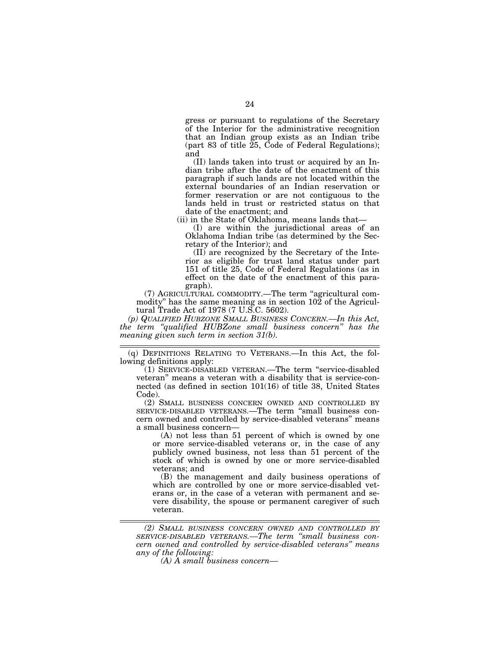gress or pursuant to regulations of the Secretary of the Interior for the administrative recognition that an Indian group exists as an Indian tribe (part 83 of title  $\tilde{25}$ , Code of Federal Regulations); and

(II) lands taken into trust or acquired by an Indian tribe after the date of the enactment of this paragraph if such lands are not located within the external boundaries of an Indian reservation or former reservation or are not contiguous to the lands held in trust or restricted status on that date of the enactment; and

(ii) in the State of Oklahoma, means lands that—

(I) are within the jurisdictional areas of an Oklahoma Indian tribe (as determined by the Secretary of the Interior); and

(II) are recognized by the Secretary of the Interior as eligible for trust land status under part 151 of title 25, Code of Federal Regulations (as in effect on the date of the enactment of this paragraph).

(7) AGRICULTURAL COMMODITY.—The term ''agricultural commodity" has the same meaning as in section  $10\overline{2}$  of the Agricultural Trade Act of 1978 (7 U.S.C. 5602).

*(p) QUALIFIED HUBZONE SMALL BUSINESS CONCERN.—In this Act, the term ''qualified HUBZone small business concern'' has the meaning given such term in section 31(b).* 

(q) DEFINITIONS RELATING TO VETERANS.—In this Act, the following definitions apply:

(1) SERVICE-DISABLED VETERAN.—The term ''service-disabled veteran'' means a veteran with a disability that is service-connected (as defined in section 101(16) of title 38, United States Code).

(2) SMALL BUSINESS CONCERN OWNED AND CONTROLLED BY SERVICE-DISABLED VETERANS.—The term ''small business concern owned and controlled by service-disabled veterans'' means a small business concern—

(A) not less than 51 percent of which is owned by one or more service-disabled veterans or, in the case of any publicly owned business, not less than 51 percent of the stock of which is owned by one or more service-disabled veterans; and

(B) the management and daily business operations of which are controlled by one or more service-disabled veterans or, in the case of a veteran with permanent and severe disability, the spouse or permanent caregiver of such veteran.

*<sup>(2)</sup> SMALL BUSINESS CONCERN OWNED AND CONTROLLED BY SERVICE-DISABLED VETERANS.—The term ''small business concern owned and controlled by service-disabled veterans'' means any of the following:* 

*<sup>(</sup>A) A small business concern—*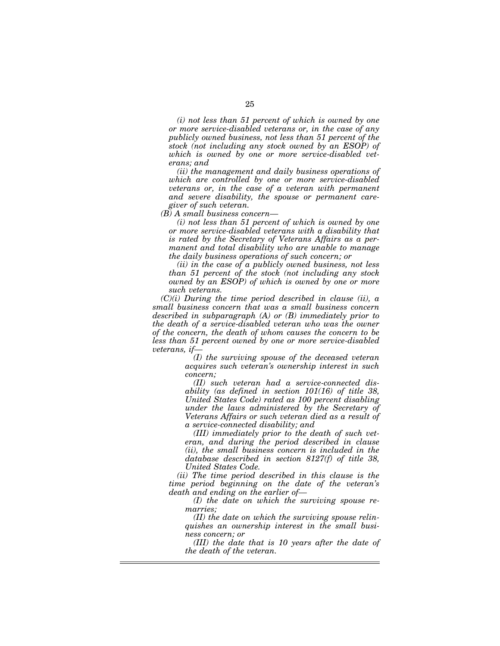*(i) not less than 51 percent of which is owned by one or more service-disabled veterans or, in the case of any publicly owned business, not less than 51 percent of the stock (not including any stock owned by an ESOP) of which is owned by one or more service-disabled veterans; and* 

*(ii) the management and daily business operations of which are controlled by one or more service-disabled veterans or, in the case of a veteran with permanent and severe disability, the spouse or permanent caregiver of such veteran.* 

*(B) A small business concern—* 

*(i) not less than 51 percent of which is owned by one or more service-disabled veterans with a disability that is rated by the Secretary of Veterans Affairs as a permanent and total disability who are unable to manage the daily business operations of such concern; or* 

*(ii) in the case of a publicly owned business, not less than 51 percent of the stock (not including any stock owned by an ESOP) of which is owned by one or more such veterans.* 

*(C)(i) During the time period described in clause (ii), a small business concern that was a small business concern described in subparagraph (A) or (B) immediately prior to the death of a service-disabled veteran who was the owner of the concern, the death of whom causes the concern to be less than 51 percent owned by one or more service-disabled veterans, if—* 

*(I) the surviving spouse of the deceased veteran acquires such veteran's ownership interest in such concern;* 

*(II) such veteran had a service-connected disability (as defined in section 101(16) of title 38, United States Code) rated as 100 percent disabling under the laws administered by the Secretary of Veterans Affairs or such veteran died as a result of a service-connected disability; and* 

*(III) immediately prior to the death of such veteran, and during the period described in clause (ii), the small business concern is included in the database described in section 8127(f) of title 38, United States Code.* 

*(ii) The time period described in this clause is the time period beginning on the date of the veteran's death and ending on the earlier of—* 

*(I) the date on which the surviving spouse remarries;* 

*(II) the date on which the surviving spouse relinquishes an ownership interest in the small business concern; or* 

*(III) the date that is 10 years after the date of the death of the veteran.*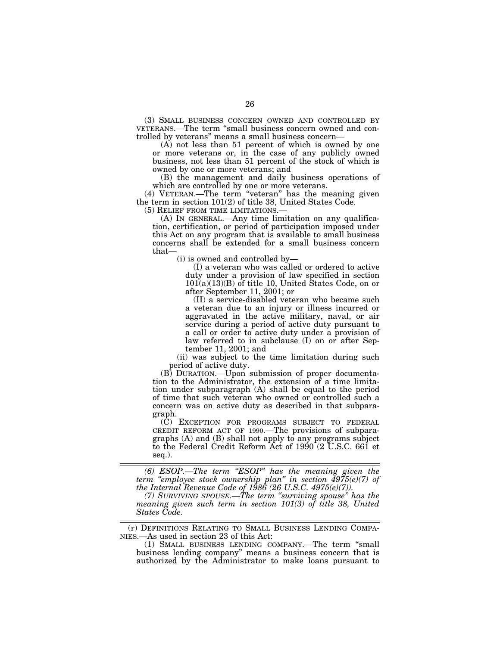(3) SMALL BUSINESS CONCERN OWNED AND CONTROLLED BY VETERANS.—The term ''small business concern owned and controlled by veterans'' means a small business concern—

(A) not less than 51 percent of which is owned by one or more veterans or, in the case of any publicly owned business, not less than 51 percent of the stock of which is owned by one or more veterans; and

(B) the management and daily business operations of which are controlled by one or more veterans.

(4) VETERAN.—The term ''veteran'' has the meaning given the term in section 101(2) of title 38, United States Code.

(5) RELIEF FROM TIME LIMITATIONS.— (A) IN GENERAL.—Any time limitation on any qualification, certification, or period of participation imposed under this Act on any program that is available to small business concerns shall be extended for a small business concern that—

(i) is owned and controlled by—

(I) a veteran who was called or ordered to active duty under a provision of law specified in section  $101(a)(13)(B)$  of title 10, United States Code, on or after September 11, 2001; or

(II) a service-disabled veteran who became such a veteran due to an injury or illness incurred or aggravated in the active military, naval, or air service during a period of active duty pursuant to a call or order to active duty under a provision of law referred to in subclause (I) on or after September 11, 2001; and

(ii) was subject to the time limitation during such period of active duty.

(B) DURATION.—Upon submission of proper documentation to the Administrator, the extension of a time limitation under subparagraph (A) shall be equal to the period of time that such veteran who owned or controlled such a concern was on active duty as described in that subparagraph.

(C) EXCEPTION FOR PROGRAMS SUBJECT TO FEDERAL CREDIT REFORM ACT OF 1990.—The provisions of subparagraphs (A) and (B) shall not apply to any programs subject to the Federal Credit Reform Act of 1990 (2 U.S.C. 661 et seq.).

*(6) ESOP.—The term ''ESOP'' has the meaning given the term ''employee stock ownership plan'' in section 4975(e)(7) of the Internal Revenue Code of 1986 (26 U.S.C. 4975(e)(7)).* 

*(7) SURVIVING SPOUSE.—The term ''surviving spouse'' has the meaning given such term in section 101(3) of title 38, United States Code.* 

(r) DEFINITIONS RELATING TO SMALL BUSINESS LENDING COMPA-NIES.—As used in section 23 of this Act:

(1) SMALL BUSINESS LENDING COMPANY.—The term ''small business lending company'' means a business concern that is authorized by the Administrator to make loans pursuant to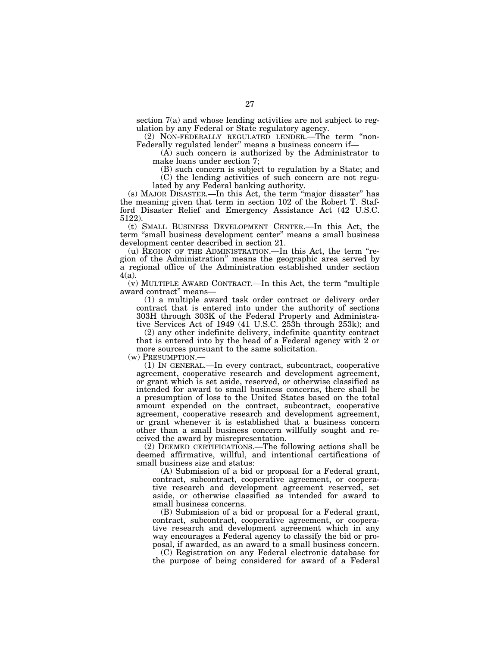section 7(a) and whose lending activities are not subject to regulation by any Federal or State regulatory agency.

(2) NON-FEDERALLY REGULATED LENDER.—The term ''non-Federally regulated lender'' means a business concern if—

(A) such concern is authorized by the Administrator to make loans under section 7;

(B) such concern is subject to regulation by a State; and

(C) the lending activities of such concern are not regulated by any Federal banking authority.

(s) MAJOR DISASTER.—In this Act, the term ''major disaster'' has the meaning given that term in section 102 of the Robert T. Stafford Disaster Relief and Emergency Assistance Act (42 U.S.C. 5122).

(t) SMALL BUSINESS DEVELOPMENT CENTER.—In this Act, the term ''small business development center'' means a small business development center described in section 21.

(u) REGION OF THE ADMINISTRATION.—In this Act, the term ''region of the Administration'' means the geographic area served by a regional office of the Administration established under section 4(a).

(v) MULTIPLE AWARD CONTRACT.—In this Act, the term ''multiple award contract'' means—

(1) a multiple award task order contract or delivery order contract that is entered into under the authority of sections 303H through 303K of the Federal Property and Administrative Services Act of 1949 (41 U.S.C. 253h through 253k); and

(2) any other indefinite delivery, indefinite quantity contract that is entered into by the head of a Federal agency with 2 or more sources pursuant to the same solicitation.

(w) PRESUMPTION.— (1) IN GENERAL.—In every contract, subcontract, cooperative agreement, cooperative research and development agreement, or grant which is set aside, reserved, or otherwise classified as intended for award to small business concerns, there shall be a presumption of loss to the United States based on the total amount expended on the contract, subcontract, cooperative agreement, cooperative research and development agreement, or grant whenever it is established that a business concern other than a small business concern willfully sought and received the award by misrepresentation.

(2) DEEMED CERTIFICATIONS.—The following actions shall be deemed affirmative, willful, and intentional certifications of small business size and status:

(A) Submission of a bid or proposal for a Federal grant, contract, subcontract, cooperative agreement, or cooperative research and development agreement reserved, set aside, or otherwise classified as intended for award to small business concerns.

(B) Submission of a bid or proposal for a Federal grant, contract, subcontract, cooperative agreement, or cooperative research and development agreement which in any way encourages a Federal agency to classify the bid or proposal, if awarded, as an award to a small business concern.

(C) Registration on any Federal electronic database for the purpose of being considered for award of a Federal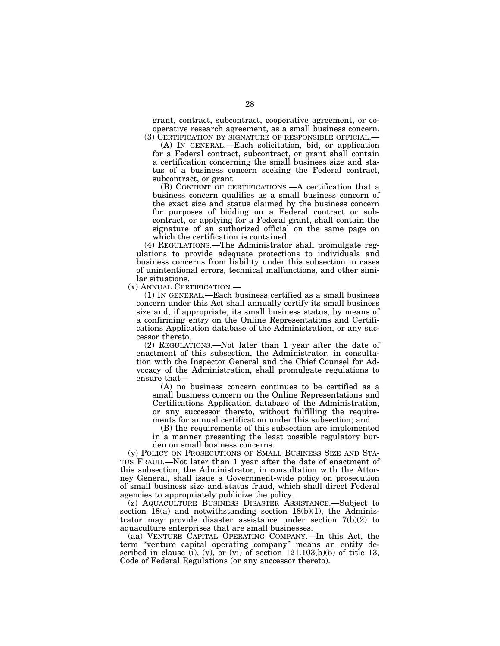grant, contract, subcontract, cooperative agreement, or cooperative research agreement, as a small business concern. (3) CERTIFICATION BY SIGNATURE OF RESPONSIBLE OFFICIAL.—

(A) IN GENERAL.—Each solicitation, bid, or application for a Federal contract, subcontract, or grant shall contain a certification concerning the small business size and status of a business concern seeking the Federal contract, subcontract, or grant.

(B) CONTENT OF CERTIFICATIONS.—A certification that a business concern qualifies as a small business concern of the exact size and status claimed by the business concern for purposes of bidding on a Federal contract or subcontract, or applying for a Federal grant, shall contain the signature of an authorized official on the same page on which the certification is contained.

(4) REGULATIONS.—The Administrator shall promulgate regulations to provide adequate protections to individuals and business concerns from liability under this subsection in cases of unintentional errors, technical malfunctions, and other similar situations.

(x) ANNUAL CERTIFICATION.—

(1) IN GENERAL.—Each business certified as a small business concern under this Act shall annually certify its small business size and, if appropriate, its small business status, by means of a confirming entry on the Online Representations and Certifications Application database of the Administration, or any successor thereto.

(2) REGULATIONS.—Not later than 1 year after the date of enactment of this subsection, the Administrator, in consultation with the Inspector General and the Chief Counsel for Advocacy of the Administration, shall promulgate regulations to ensure that—

(A) no business concern continues to be certified as a small business concern on the Online Representations and Certifications Application database of the Administration, or any successor thereto, without fulfilling the requirements for annual certification under this subsection; and

(B) the requirements of this subsection are implemented in a manner presenting the least possible regulatory burden on small business concerns.

(y) POLICY ON PROSECUTIONS OF SMALL BUSINESS SIZE AND STA-TUS FRAUD.—Not later than 1 year after the date of enactment of this subsection, the Administrator, in consultation with the Attorney General, shall issue a Government-wide policy on prosecution of small business size and status fraud, which shall direct Federal agencies to appropriately publicize the policy.

(z) AQUACULTURE BUSINESS DISASTER ASSISTANCE.—Subject to section  $18(a)$  and notwithstanding section  $18(b)(1)$ , the Administrator may provide disaster assistance under section 7(b)(2) to aquaculture enterprises that are small businesses.

(aa) VENTURE CAPITAL OPERATING COMPANY.—In this Act, the term ''venture capital operating company'' means an entity described in clause (i), (v), or (vi) of section  $121.103(b)(5)$  of title 13, Code of Federal Regulations (or any successor thereto).